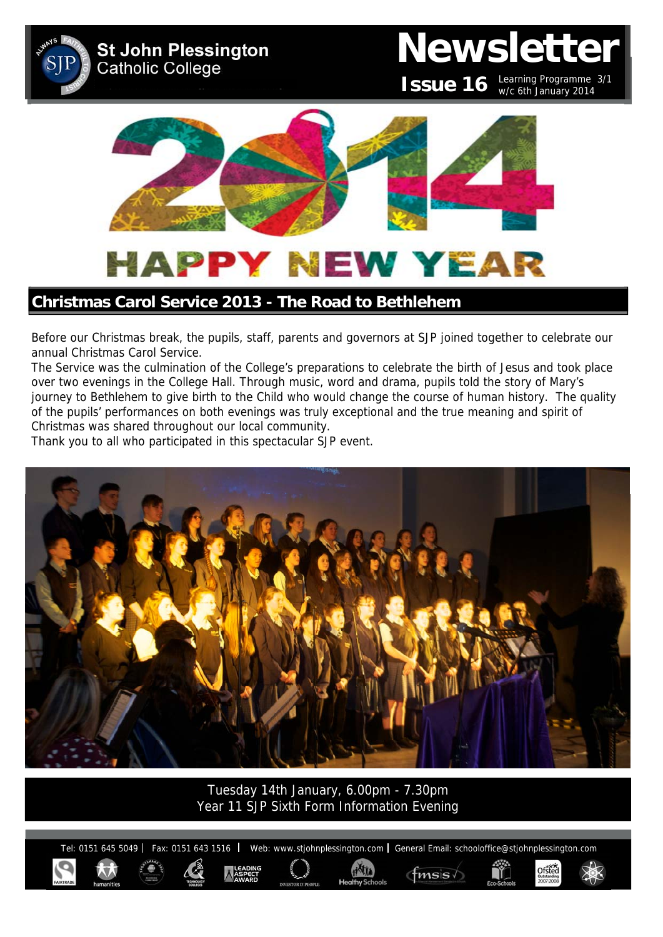

## **Christmas Carol Service 2013 - The Road to Bethlehem**

Before our Christmas break, the pupils, staff, parents and governors at SJP joined together to celebrate our annual Christmas Carol Service.

The Service was the culmination of the College's preparations to celebrate the birth of Jesus and took place over two evenings in the College Hall. Through music, word and drama, pupils told the story of Mary's journey to Bethlehem to give birth to the Child who would change the course of human history. The quality of the pupils' performances on both evenings was truly exceptional and the true meaning and spirit of Christmas was shared throughout our local community.

Thank you to all who participated in this spectacular SJP event.



Tuesday 14th January, 6.00pm - 7.30pm Year 11 SJP Sixth Form Information Evening

Tel: 0151 645 5049 | Fax: 0151 643 1516 | Web: www.stjohnplessington.com | General Email: schooloffice@stjohnplessington.com

ditty

 $f$ <sub>msis</sub>

Ofsted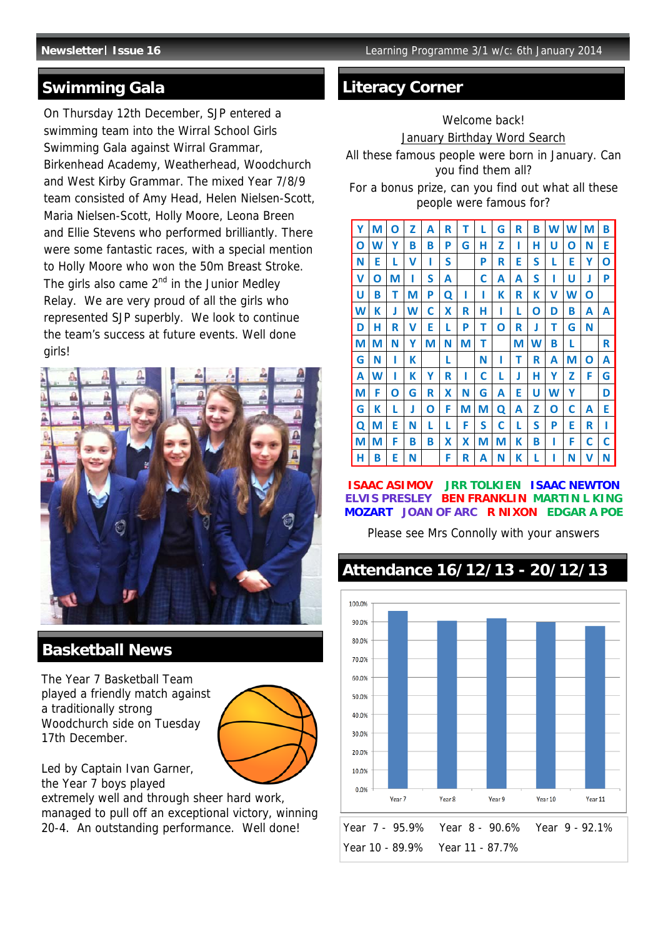## **Swimming Gala**

On Thursday 12th December, SJP entered a swimming team into the Wirral School Girls Swimming Gala against Wirral Grammar, Birkenhead Academy, Weatherhead, Woodchurch and West Kirby Grammar. The mixed Year 7/8/9 team consisted of Amy Head, Helen Nielsen-Scott, Maria Nielsen-Scott, Holly Moore, Leona Breen and Ellie Stevens who performed brilliantly. There were some fantastic races, with a special mention to Holly Moore who won the 50m Breast Stroke. The girls also came  $2^{nd}$  in the Junior Medley Relay. We are very proud of all the girls who represented SJP superbly. We look to continue the team's success at future events. Well done girls!



## **Basketball News**

The Year 7 Basketball Team played a friendly match against a traditionally strong Woodchurch side on Tuesday 17th December.



Led by Captain Ivan Garner, the Year 7 boys played

extremely well and through sheer hard work, managed to pull off an exceptional victory, winning 20-4. An outstanding performance. Well done!

# **Literacy Corner**

## Welcome back!

### January Birthday Word Search

All these famous people were born in January. Can you find them all?

For a bonus prize, can you find out what all these people were famous for?



**ISAAC ASIMOV JRR TOLKIEN ISAAC NEWTON ELVIS PRESLEY BEN FRANKLIN MARTIN L KING MOZART JOAN OF ARC R NIXON EDGAR A POE** 

Please see Mrs Connolly with your answers

# **Attendance 16/12/13 - 20/12/13**

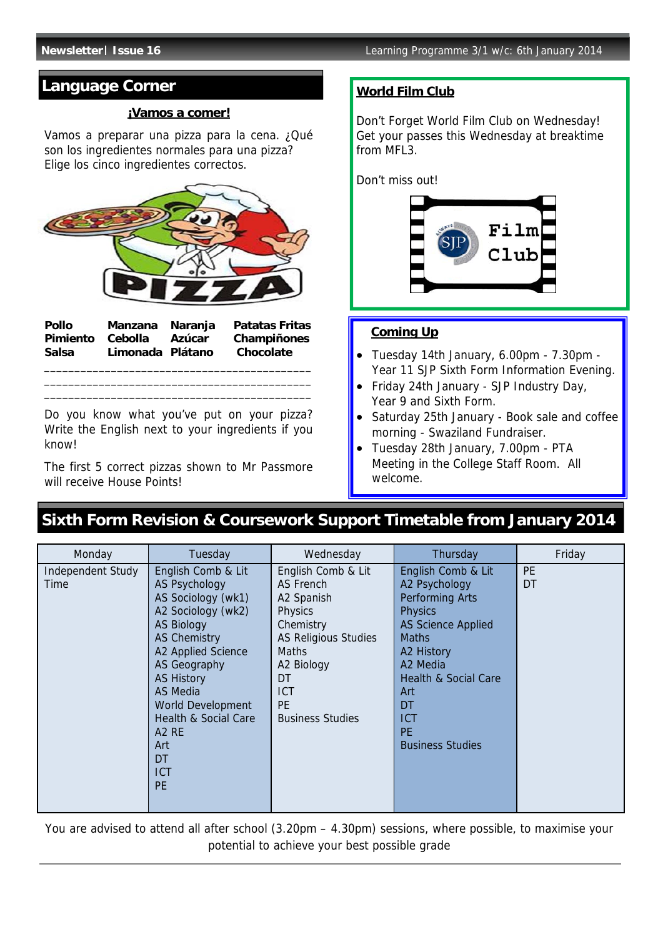# **Language Corner**

## **¡Vamos a comer!**

Vamos a preparar una pizza para la cena. ¿Qué son los ingredientes normales para una pizza? Elige los cinco ingredientes correctos.



**Pollo Manzana Naranja Patatas Fritas Pimiento Cebolla Azúcar Champiñones Salsa Limonada Plátano Chocolate**  \_\_\_\_\_\_\_\_\_\_\_\_\_\_\_\_\_\_\_\_\_\_\_\_\_\_\_\_\_\_\_\_\_\_\_\_\_\_\_\_\_\_\_\_

\_\_\_\_\_\_\_\_\_\_\_\_\_\_\_\_\_\_\_\_\_\_\_\_\_\_\_\_\_\_\_\_\_\_\_\_\_\_\_\_\_\_\_\_ \_\_\_\_\_\_\_\_\_\_\_\_\_\_\_\_\_\_\_\_\_\_\_\_\_\_\_\_\_\_\_\_\_\_\_\_\_\_\_\_\_\_\_\_

Do you know what you've put on your pizza? Write the English next to your ingredients if you know!

The first 5 correct pizzas shown to Mr Passmore will receive House Points!

## **World Film Club**

Don't Forget World Film Club on Wednesday! Get your passes this Wednesday at breaktime from MFI<sub>3</sub>.

Don't miss out!



## **Coming Up**

- Tuesday 14th January, 6.00pm 7.30pm Year 11 SJP Sixth Form Information Evening.
- Friday 24th January SJP Industry Day, Year 9 and Sixth Form.
- Saturday 25th January Book sale and coffee morning - Swaziland Fundraiser.
- Tuesday 28th January, 7.00pm PTA Meeting in the College Staff Room. All welcome.

# **Sixth Form Revision & Coursework Support Timetable from January 2014**

| Monday                           | Tuesday                                                                                                                                                                                                                                                                                                                                              | Wednesday                                                                                                                                                                                      | Thursday                                                                                                                                                                                                                                              | Friday          |
|----------------------------------|------------------------------------------------------------------------------------------------------------------------------------------------------------------------------------------------------------------------------------------------------------------------------------------------------------------------------------------------------|------------------------------------------------------------------------------------------------------------------------------------------------------------------------------------------------|-------------------------------------------------------------------------------------------------------------------------------------------------------------------------------------------------------------------------------------------------------|-----------------|
| <b>Independent Study</b><br>Time | English Comb & Lit<br><b>AS Psychology</b><br>AS Sociology (wk1)<br>A2 Sociology (wk2)<br><b>AS Biology</b><br><b>AS Chemistry</b><br>A2 Applied Science<br><b>AS Geography</b><br><b>AS History</b><br><b>AS Media</b><br><b>World Development</b><br>Health & Social Care<br>A <sub>2</sub> R <sub>E</sub><br>Art<br>DT<br><b>ICT</b><br><b>PE</b> | English Comb & Lit<br>AS French<br>A2 Spanish<br>Physics<br>Chemistry<br><b>AS Religious Studies</b><br><b>Maths</b><br>A2 Biology<br>DT<br><b>ICT</b><br><b>PE</b><br><b>Business Studies</b> | English Comb & Lit<br>A2 Psychology<br>Performing Arts<br><b>Physics</b><br><b>AS Science Applied</b><br><b>Maths</b><br>A2 History<br>A2 Media<br><b>Health &amp; Social Care</b><br>Art<br>DT<br><b>ICT</b><br><b>PE</b><br><b>Business Studies</b> | <b>PE</b><br>DT |

You are advised to attend all after school (3.20pm – 4.30pm) sessions, where possible, to maximise your potential to achieve your best possible grade